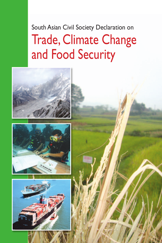South Asian Civil Society Declaration on Trade, Climate Change and Food Security

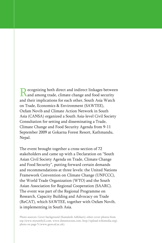Recognizing both direct and indirect linkages between and among trade, climate change and food security and their implications for each other, South Asia Watch on Trade, Economics & Environment (SAWTEE), Oxfam Novib and Climate Action Network in South Asia (CANSA) organized a South Asia-level Civil Society Consultation for setting and disseminating a Trade, Climate Change and Food Security Agenda from 9-11 September 2009 at Gokarna Forest Resort, Kathmandu, Nepal.

The event brought together a cross-section of 72 stakeholders and came up with a Declaration on "South Asian Civil Society Agenda on Trade, Climate Change and Food Security", putting forward certain demands and recommendations at three levels: the United Nations Framework Convention on Climate Change (UNFCCC), the World Trade Organization (WTO) and the South Asian Association for Regional Cooperation (SAARC). The event was part of the Regional Programme on Research, Capacity Building and Advocacy on Trade (ReCAT), which SAWTEE, together with Oxfam Novib, is implementing in South Asia.

Photo sources: Cover background (Kamalesh Adhikari); other cover photos from top (www.mytambyli.com, www.distantocean.com, http://upload.wikimedia.org); photo on page 5 (www.geos.ed.ac.uk).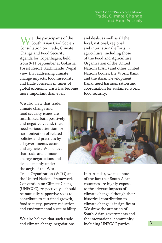# South Asian Civil Society Declaration on Trade, Climate Change

e, the participants of the South Asian Civil Society Consultation on Trade, Climate Change and Food Security Agenda for Copenhagen, held from 9-11 September at Gokarna Forest Resort, Kathmandu, Nepal, view that addressing climate change impacts, food insecurity, and trade concerns in times of global economic crisis has become more important than ever.

and deals, as well as all the local, national, regional and international efforts in agriculture, including those of the Food and Agriculture Organization of the United Nations (FAO) and other United Nations bodies, the World Bank and the Asian Development Bank, need harmonization and coordination for sustained world food security.

We also view that trade, climate change and food security issues are interlinked both positively and negatively, and, thus, need serious attention for harmonization of related policies and practices by all governments, actors and agencies. We believe that trade and climate change negotiations and deals—mainly under the aegis of the World

Trade Organization (WTO) and the United Nations Framework Convention on Climate Change (UNFCCC), respectively—should be mutually supportive so as to contribute to sustained growth, food security, poverty reduction and environmental sustainability.

We also believe that such trade and climate change negotiations



In particular, we take note of the fact that South Asian countries are highly exposed to the adverse impacts of climate change although their historical contribution to climate change is insignificant. We draw the attention of South Asian governments and the international community, including UNFCCC parties,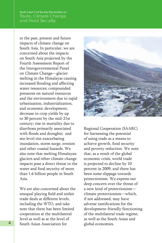to the past, present and future impacts of climate change on South Asia. In particular, we are concerned about the impacts on South Asia projected by the Fourth Assessment Report of the Intergovernmental Panel on Climate Change—glacier melting in the Himalayas causing increased flooding and affecting water resources; compounded pressures on natural resources and the environment due to rapid urbanization, industrialization, and economic development; decrease in crop yields by up to 30 percent by the mid-21st century; rise in mortality due to diarrhoea primarily associated with floods and droughts; and sea-level rise exacerbating inundation, storm surge, erosion and other coastal hazards. We also note that melting Himalayan glaciers and other climate change impacts pose a direct threat to the water and food security of more than 1.6 billion people in South Asia.

We are also concerned about the unequal playing field and unfair trade deals at different levels, including the WTO, and take note that there has been limited cooperation at the multilateral level as well as at the level of South Asian Association for



Regional Cooperation (SAARC) for harnessing the potential of using trade as a means to achieve growth, food security and poverty reduction. We note that, as a result of the global economic crisis, world trade is projected to decline by 10 percent in 2009, and there has been some slippage towards protectionism. We express our deep concern over the threat of a new kind of protectionism climate protectionism—which, if not addressed, may have adverse ramifications for the development-friendly functioning of the multilateral trade regime, as well as the South Asian and global economies.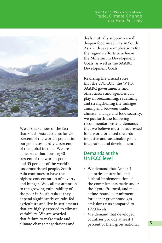# South Asian Civil Society Declaration on Trade, Climate Change



We also take note of the fact that South Asia accounts for 23 percent of the world's population but generates hardly 2 percent of the global income. We are concerned that housing 40 percent of the world's poor and 35 percent of the world's undernourished people, South Asia continues to have the highest concentration of poverty and hunger. We call for attention to the growing vulnerability of the poor in South Asia as they depend significantly on rain-fed agriculture and live in settlements that are highly exposed to climate variability. We are worried that failure to make trade and climate change negotiations and

deals mutually supportive will deepen food insecurity in South Asia with severe implications for the region's efforts to achieve the Millennium Development Goals, as well as the SAARC Development Goals.

Realizing the crucial roles that the UNFCCC, the WTO, SAARC governments, and other actors and agencies can play in reexamining, redefining and strengthening the linkages among and between trade, climate change and food security, we put forth the following recommendations and demands that we believe must be addressed for a world oriented towards inclusive and sustainable global integration and development.

### Demands at the UNFCCC level

- We demand that Annex 1 countries ensure full and faithful implementation of the commitments made under the Kyoto Protocol, and make a time-bound commitment for deeper greenhouse gas emissions cuts compared to 1990 levels.
- We demand that developed countries provide at least 1 percent of their gross national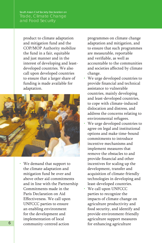product to climate adaptation and mitigation fund and the COP/MOP Authority mobilize the fund in a fair, equitable and just manner and in the interest of developing and leastdeveloped countries. We also call upon developed countries to ensure that a larger share of funding is made available for adaptation.



• We demand that support to the climate adaptation and mitigation fund be over and above other aid commitments and in line with the Partnership Commitments made in the Paris Declaration on Aid Effectiveness. We call upon UNFCCC parties to ensure an enabling environment for the development and implementation of local community-centred action

programmes on climate change adaptation and mitigation, and to ensure that such programmes are measurable, reportable and verifiable, as well as accountable to the communities and societies affected by climate change.

- We urge developed countries to provide financial and technical assistance to vulnerable countries, mainly developing and least-developed countries, to cope with climate-induced dislocation and distress, and address the concerns relating to environmental refugees.
- We urge developed countries to agree on legal and institutional options and make time-bound commitments to introduce incentive mechanisms and implement measures that remove the obstacles to and provide financial and other incentives for scaling up the development, transfer and acquisition of climate-friendly technologies in developing and least-developed countries.
- We call upon UNFCCC parties to recognize the impacts of climate change on agriculture productivity and food security, and identify and provide environment-friendly agriculture support measures for enhancing agriculture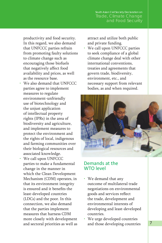productivity and food security. In this regard, we also demand that UNFCCC parties refrain from promoting faulty solutions to climate change such as encouraging those biofuels that negatively affect food availability and prices, as well as the resource base.

- We also demand that UNFCCC parties agree to implement measures to regulate environment-unfriendly use of biotechnology and the unjust application of intellectual property rights (IPRs) in the area of biodiversity and agriculture, and implement measures to protect the environment and the rights of local, indigenous and farming communities over their biological resources and associated knowledge.
- We call upon UNFCCC parties to make a fundamental change in the manner in which the Clean Development Mechanism (CDM) operates, in that its environment integrity is ensured and it benefits the least-developed countries (LDCs) and the poor. In this connection, we also demand that the parties implement measures that harness CDM more closely with development and sectoral priorities as well as

attract and utilize both public and private funding.

• We call upon UNFCCC parties to seek compliance of a global climate change deal with other international conventions, treaties and agreements that govern trade, biodiversity, environment, etc., and necessary support from relevant bodies, as and when required.



#### Demands at the WTO level

- We demand that any outcome of multilateral trade negotiations on environmental goods and services reflect the trade, development and environmental interests of developing and least-developed countries.
- We urge developed countries and those developing countries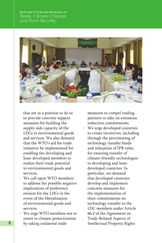

that are in a position to do so to provide concrete support measures for building the supply-side capacity of the LDCs in environmental goods and services. We also demand that the WTO's aid for trade initiative be implemented for enabling the developing and least-developed members to realize their trade potential in environmental goods and services.

- We call upon WTO members to address the possible negative implications of preference erosion for the LDCs in the event of the liberalization of environmental goods and services.
- We urge WTO members not to resort to climate protectionism by taking unilateral trade

measures to compel trading partners to take on emissions reduction commitments.

• We urge developed countries to create incentives, including through the provisioning of technology transfer funds and relaxation of IPR rules, for ensuring transfer of climate-friendly technologies to developing and leastdeveloped countries. In particular, we demand that developed countries develop and implement concrete measures for the implementation of their commitments on technology transfer to the LDC members under Article 66.2 of the Agreement on Trade-Related Aspects of Intellectual Property Rights

8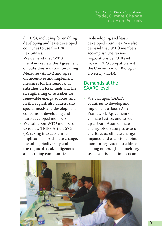(TRIPS), including for enabling developing and least-developed countries to use the IPR flexibilities.

- We demand that WTO members review the Agreement on Subsidies and Countervailing Measures (ASCM) and agree on incentives and implement measures for the removal of subsidies on fossil fuels and the strengthening of subsidies for renewable energy sources, and in this regard, also address the special needs and development concerns of developing and least-developed members.
- We call upon WTO members to review TRIPS Article 27.3 (b), taking into account its implications for climate change, including biodiversity and the rights of local, indigenous and farming communities

in developing and leastdeveloped countries. We also demand that WTO members accomplish the review negotiations by 2010 and make TRIPS compatible with the Convention on Biological Diversity (CBD).

#### Demands at the SAARC level

• We call upon SAARC countries to develop and implement a South Asian Framework Agreement on Climate Justice, and to set up a South Asian climate change observatory to assess and forecast climate change impacts, and establish a joint monitoring system to address, among others, glacial melting, sea-level rise and impacts on

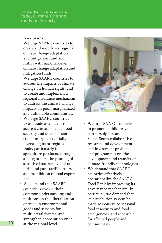river basins.

- We urge SAARC countries to create and mobilize a regional climate change adaptation and mitigation fund and link it with national-level climate change adaptation and mitigation funds.
- We urge SAARC countries to address the impacts of climate change on human rights, and to create and implement a regional insurance mechanism to address the climate change impacts on poor, marginalized and vulnerable communities.
- We urge SAARC countries to use trade as a means to address climate change, food security and development concerns by substantially increasing intra-regional trade, particularly in agriculture products, through, among others, the pruning of sensitive lists, removal of nontariff and para-tariff barriers, and prohibition of food export ban.
- We demand that SAARC countries develop their common understanding and positions on the liberalization of trade in environmental goods and services for multilateral forums, and strengthen cooperation on it at the regional level.



- We urge SAARC countries to promote public-private partnership for, and South-South collaborative research and development, and investment projects and programmes on, the development and transfer of climate-friendly technologies.
- We demand that SAARC countries effectively operationalize the SAARC Food Bank by improving its governance mechanism. In particular, we demand that its distribution system be made responsive to seasonal food insecurity and food emergencies, and accessible for affected people and communities.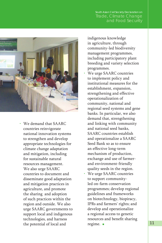# South Asian Civil Society Declaration on Trade, Climate Change



• We demand that SAARC countries reinvigorate national innovation systems to strengthen and develop appropriate technologies for climate change adaptation and mitigation, including for sustainable natural resources management. We also urge SAARC countries to document and disseminate good adaptation and mitigation practices in agriculture, and promote the sharing and adoption of such practices within the region and outside. We also urge SAARC governments to support local and indigenous technologies, and harness the potential of local and

indigenous knowledge in agriculture, through community-led biodiversity management programmes, including participatory plant breeding and variety selection programmes.

- We urge SAARC countries to implement policy and institutional measures for the establishment, expansion, strengthening and effective operationalization of community, national and regional seed systems and gene banks. In particular, we also demand that, strengthening and linking with community and national seed banks, SAARC countries establish and operationalize a SAARC Seed Bank so as to ensure an effective long-term mechanism of production, exchange and use of farmerand environment-friendly quality seeds in the region.
- We urge SAARC countries to support communityled on-farm conservation programmes; develop regional guidelines and frameworks on biotechnology, biopiracy, IPRs and farmers' rights; and develop and operationalize a regional access to genetic resources and benefit sharing regime.